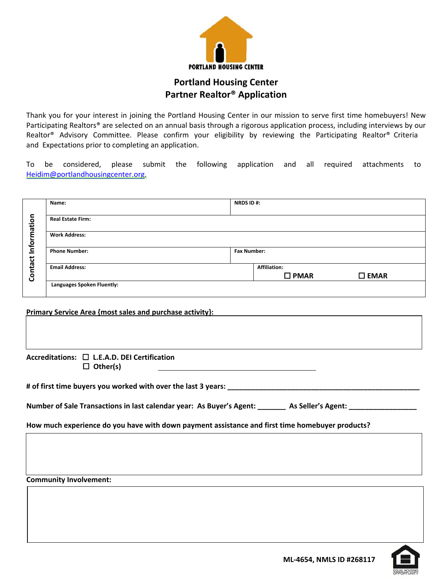

## **Portland Housing Center Partner Realtor® Application**

Thank you for your interest in joining the Portland Housing Center in our mission to serve first time homebuyers! New Participating Realtors® are selected on an annual basis through a rigorous application process, including interviews by our Realtor® Advisory Committee. Please confirm your eligibility by reviewing the Participating Realtor® Criteria and Expectations prior to completing an application.

To be considered, please submit the following application and all required attachments to Heidim@portlandhousingcenter.org.

|        | Name:                      | <b>NRDS ID#:</b>   |                |                |  |
|--------|----------------------------|--------------------|----------------|----------------|--|
|        |                            |                    |                |                |  |
| nation | <b>Real Estate Firm:</b>   |                    |                |                |  |
|        |                            |                    |                |                |  |
| ٤      | <b>Work Address:</b>       |                    |                |                |  |
| Infor  |                            |                    |                |                |  |
|        | <b>Phone Number:</b>       | <b>Fax Number:</b> |                |                |  |
| ntact  |                            |                    |                |                |  |
|        | <b>Email Address:</b>      |                    | Affiliation:   |                |  |
| ලි     |                            |                    | $\square$ PMAR | $\square$ EMAR |  |
|        | Languages Spoken Fluently: |                    |                |                |  |
|        |                            |                    |                |                |  |

| Primary Service Area {most sales and purchase activity}: |  |
|----------------------------------------------------------|--|
|                                                          |  |
|                                                          |  |
| Accreditations: □ L.E.A.D. DEI Certification             |  |

**Other(s)**

**# of first time buyers you worked with over the last 3 years: \_\_\_\_\_\_\_\_\_\_\_\_\_\_\_\_\_\_\_\_\_\_\_\_\_\_\_\_\_\_\_\_\_\_\_\_\_\_\_\_\_\_\_\_\_\_\_\_**

Number of Sale Transactions in last calendar year: As Buyer's Agent: \_\_\_\_\_\_\_ As Seller's Agent: \_

**How much experience do you have with down payment assistance and first time homebuyer products?**

**Community Involvement:**